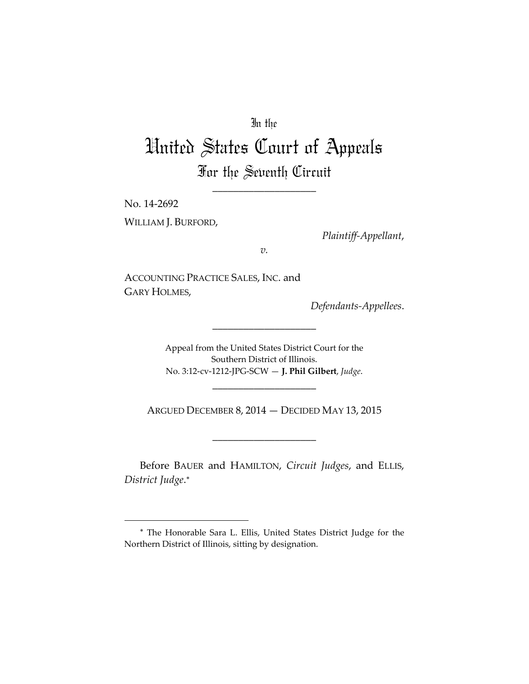## In the

## United States Court of Appeals For the Seventh Circuit

\_\_\_\_\_\_\_\_\_\_\_\_\_\_\_\_\_\_\_\_

No. 14‐2692 WILLIAM J. BURFORD,

*Plaintiff‐Appellant*,

*v.*

ACCOUNTING PRACTICE SALES, INC. and GARY HOLMES,

*Defendants‐Appellees*.

Appeal from the United States District Court for the Southern District of Illinois. No. 3:12‐cv‐1212‐JPG‐SCW — **J. Phil Gilbert**, *Judge*.

\_\_\_\_\_\_\_\_\_\_\_\_\_\_\_\_\_\_\_\_

ARGUED DECEMBER 8, 2014 — DECIDED MAY 13, 2015

\_\_\_\_\_\_\_\_\_\_\_\_\_\_\_\_\_\_\_\_

\_\_\_\_\_\_\_\_\_\_\_\_\_\_\_\_\_\_\_\_

Before BAUER and HAMILTON, *Circuit Judges*, and ELLIS, *District Judge*.

The Honorable Sara L. Ellis, United States District Judge for the Northern District of Illinois, sitting by designation.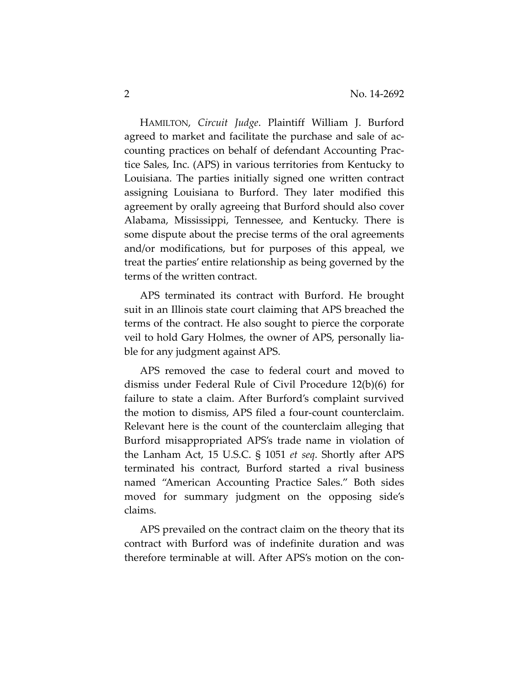HAMILTON, *Circuit Judge*. Plaintiff William J. Burford agreed to market and facilitate the purchase and sale of ac‐ counting practices on behalf of defendant Accounting Prac‐ tice Sales, Inc. (APS) in various territories from Kentucky to Louisiana. The parties initially signed one written contract assigning Louisiana to Burford. They later modified this agreement by orally agreeing that Burford should also cover Alabama, Mississippi, Tennessee, and Kentucky. There is some dispute about the precise terms of the oral agreements and/or modifications, but for purposes of this appeal, we treat the parties' entire relationship as being governed by the terms of the written contract.

APS terminated its contract with Burford. He brought suit in an Illinois state court claiming that APS breached the terms of the contract. He also sought to pierce the corporate veil to hold Gary Holmes, the owner of APS, personally lia‐ ble for any judgment against APS.

APS removed the case to federal court and moved to dismiss under Federal Rule of Civil Procedure 12(b)(6) for failure to state a claim. After Burford's complaint survived the motion to dismiss, APS filed a four‐count counterclaim. Relevant here is the count of the counterclaim alleging that Burford misappropriated APS's trade name in violation of the Lanham Act, 15 U.S.C. § 1051 *et seq*. Shortly after APS terminated his contract, Burford started a rival business named "American Accounting Practice Sales." Both sides moved for summary judgment on the opposing side's claims.

APS prevailed on the contract claim on the theory that its contract with Burford was of indefinite duration and was therefore terminable at will. After APS's motion on the con‐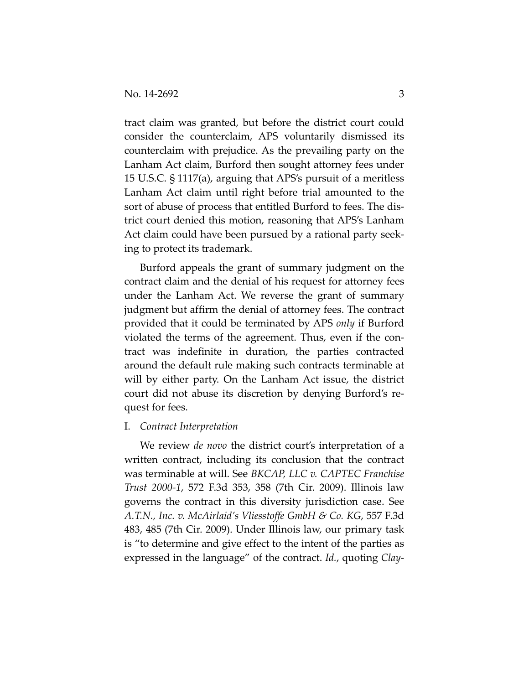tract claim was granted, but before the district court could consider the counterclaim, APS voluntarily dismissed its counterclaim with prejudice. As the prevailing party on the Lanham Act claim, Burford then sought attorney fees under 15 U.S.C. § 1117(a), arguing that APS's pursuit of a meritless Lanham Act claim until right before trial amounted to the sort of abuse of process that entitled Burford to fees. The district court denied this motion, reasoning that APS's Lanham Act claim could have been pursued by a rational party seek‐ ing to protect its trademark.

Burford appeals the grant of summary judgment on the contract claim and the denial of his request for attorney fees under the Lanham Act. We reverse the grant of summary judgment but affirm the denial of attorney fees. The contract provided that it could be terminated by APS *only* if Burford violated the terms of the agreement. Thus, even if the con‐ tract was indefinite in duration, the parties contracted around the default rule making such contracts terminable at will by either party. On the Lanham Act issue, the district court did not abuse its discretion by denying Burford's re‐ quest for fees.

## I. *Contract Interpretation*

We review *de novo* the district court's interpretation of a written contract, including its conclusion that the contract was terminable at will. See *BKCAP, LLC v. CAPTEC Franchise Trust 2000‐1*, 572 F.3d 353, 358 (7th Cir. 2009). Illinois law governs the contract in this diversity jurisdiction case. See *A.T.N., Inc. v. McAirlaid's Vliesstoffe GmbH & Co. KG*, 557 F.3d 483, 485 (7th Cir. 2009). Under Illinois law, our primary task is "to determine and give effect to the intent of the parties as expressed in the language" of the contract. *Id.*, quoting *Clay‐*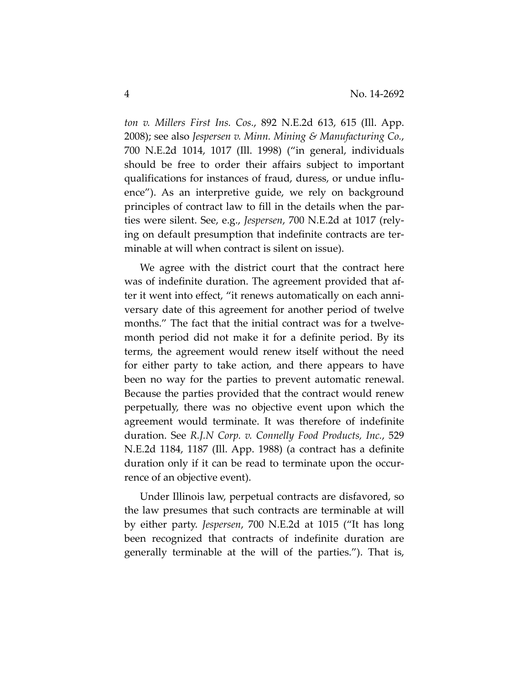*ton v. Millers First Ins. Cos.*, 892 N.E.2d 613, 615 (Ill. App. 2008); see also *Jespersen v. Minn. Mining & Manufacturing Co.*, 700 N.E.2d 1014, 1017 (Ill. 1998) ("in general, individuals should be free to order their affairs subject to important qualifications for instances of fraud, duress, or undue influ‐ ence"). As an interpretive guide, we rely on background principles of contract law to fill in the details when the par‐ ties were silent. See, e.g., *Jespersen*, 700 N.E.2d at 1017 (rely‐ ing on default presumption that indefinite contracts are ter‐ minable at will when contract is silent on issue).

We agree with the district court that the contract here was of indefinite duration. The agreement provided that after it went into effect, "it renews automatically on each anni‐ versary date of this agreement for another period of twelve months." The fact that the initial contract was for a twelvemonth period did not make it for a definite period. By its terms, the agreement would renew itself without the need for either party to take action, and there appears to have been no way for the parties to prevent automatic renewal. Because the parties provided that the contract would renew perpetually, there was no objective event upon which the agreement would terminate. It was therefore of indefinite duration. See *R.J.N Corp. v. Connelly Food Products, Inc.*, 529 N.E.2d 1184, 1187 (Ill. App. 1988) (a contract has a definite duration only if it can be read to terminate upon the occur‐ rence of an objective event).

Under Illinois law, perpetual contracts are disfavored, so the law presumes that such contracts are terminable at will by either party. *Jespersen*, 700 N.E.2d at 1015 ("It has long been recognized that contracts of indefinite duration are generally terminable at the will of the parties."). That is,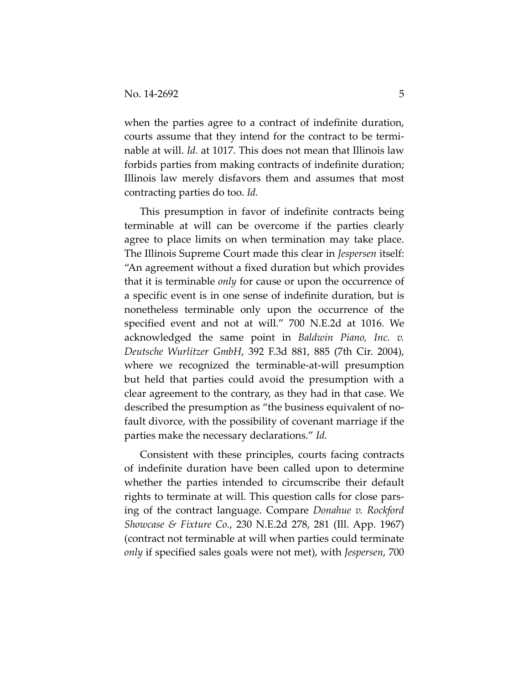when the parties agree to a contract of indefinite duration, courts assume that they intend for the contract to be termi‐ nable at will. *Id.* at 1017. This does not mean that Illinois law forbids parties from making contracts of indefinite duration; Illinois law merely disfavors them and assumes that most contracting parties do too. *Id.*

This presumption in favor of indefinite contracts being terminable at will can be overcome if the parties clearly agree to place limits on when termination may take place. The Illinois Supreme Court made this clear in *Jespersen* itself: "An agreement without a fixed duration but which provides that it is terminable *only* for cause or upon the occurrence of a specific event is in one sense of indefinite duration, but is nonetheless terminable only upon the occurrence of the specified event and not at will." 700 N.E.2d at 1016. We acknowledged the same point in *Baldwin Piano, Inc. v. Deutsche Wurlitzer GmbH*, 392 F.3d 881, 885 (7th Cir. 2004), where we recognized the terminable-at-will presumption but held that parties could avoid the presumption with a clear agreement to the contrary, as they had in that case. We described the presumption as "the business equivalent of no‐ fault divorce, with the possibility of covenant marriage if the parties make the necessary declarations." *Id.*

Consistent with these principles, courts facing contracts of indefinite duration have been called upon to determine whether the parties intended to circumscribe their default rights to terminate at will. This question calls for close pars‐ ing of the contract language. Compare *Donahue v. Rockford Showcase & Fixture Co.*, 230 N.E.2d 278, 281 (Ill. App. 1967) (contract not terminable at will when parties could terminate *only* if specified sales goals were not met), with *Jespersen*, 700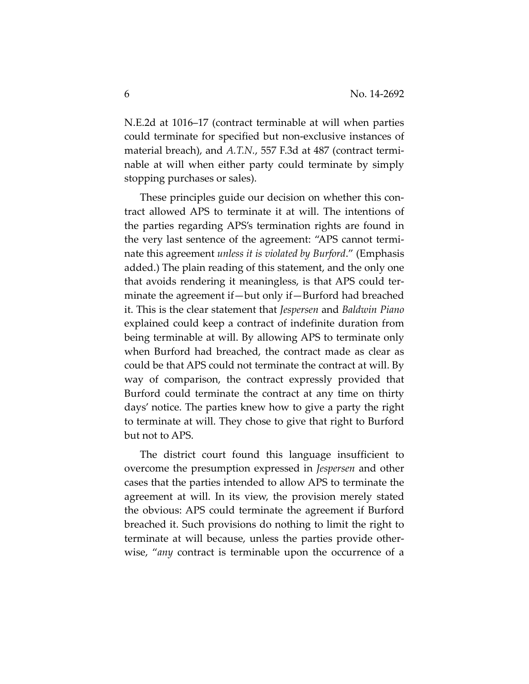N.E.2d at 1016–17 (contract terminable at will when parties could terminate for specified but non‐exclusive instances of material breach), and *A.T.N.*, 557 F.3d at 487 (contract termi‐ nable at will when either party could terminate by simply stopping purchases or sales).

These principles guide our decision on whether this con‐ tract allowed APS to terminate it at will. The intentions of the parties regarding APS's termination rights are found in the very last sentence of the agreement: "APS cannot termi‐ nate this agreement *unless it is violated by Burford*." (Emphasis added.) The plain reading of this statement, and the only one that avoids rendering it meaningless, is that APS could ter‐ minate the agreement if—but only if—Burford had breached it. This is the clear statement that *Jespersen* and *Baldwin Piano* explained could keep a contract of indefinite duration from being terminable at will. By allowing APS to terminate only when Burford had breached, the contract made as clear as could be that APS could not terminate the contract at will. By way of comparison, the contract expressly provided that Burford could terminate the contract at any time on thirty days' notice. The parties knew how to give a party the right to terminate at will. They chose to give that right to Burford but not to APS.

The district court found this language insufficient to overcome the presumption expressed in *Jespersen* and other cases that the parties intended to allow APS to terminate the agreement at will. In its view, the provision merely stated the obvious: APS could terminate the agreement if Burford breached it. Such provisions do nothing to limit the right to terminate at will because, unless the parties provide other‐ wise, "*any* contract is terminable upon the occurrence of a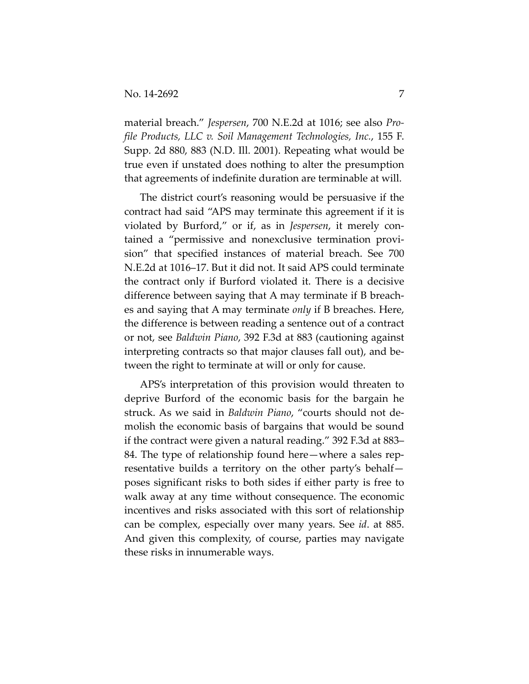material breach." *Jespersen*, 700 N.E.2d at 1016; see also *Pro‐ file Products, LLC v. Soil Management Technologies, Inc.*, 155 F. Supp. 2d 880, 883 (N.D. Ill. 2001). Repeating what would be true even if unstated does nothing to alter the presumption that agreements of indefinite duration are terminable at will.

The district court's reasoning would be persuasive if the contract had said "APS may terminate this agreement if it is violated by Burford," or if, as in *Jespersen*, it merely con‐ tained a "permissive and nonexclusive termination provi‐ sion" that specified instances of material breach. See 700 N.E.2d at 1016–17. But it did not. It said APS could terminate the contract only if Burford violated it. There is a decisive difference between saying that A may terminate if B breach‐ es and saying that A may terminate *only* if B breaches. Here, the difference is between reading a sentence out of a contract or not, see *Baldwin Piano*, 392 F.3d at 883 (cautioning against interpreting contracts so that major clauses fall out), and be‐ tween the right to terminate at will or only for cause.

APS's interpretation of this provision would threaten to deprive Burford of the economic basis for the bargain he struck. As we said in *Baldwin Piano*, "courts should not de‐ molish the economic basis of bargains that would be sound if the contract were given a natural reading." 392 F.3d at 883– 84. The type of relationship found here—where a sales representative builds a territory on the other party's behalf poses significant risks to both sides if either party is free to walk away at any time without consequence. The economic incentives and risks associated with this sort of relationship can be complex, especially over many years. See *id*. at 885. And given this complexity, of course, parties may navigate these risks in innumerable ways.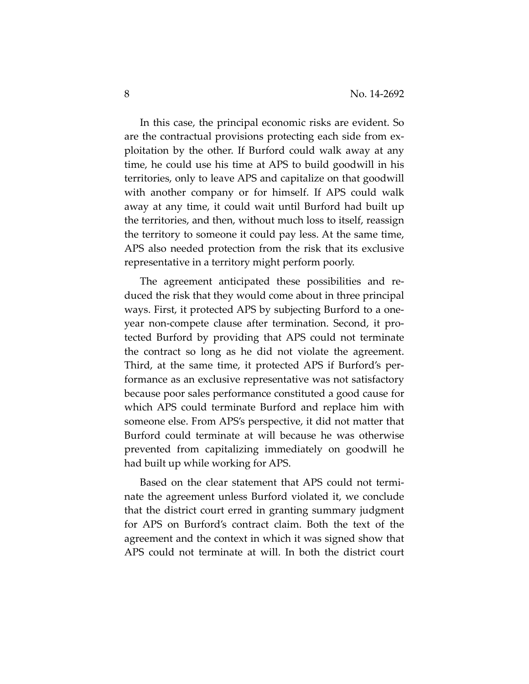In this case, the principal economic risks are evident. So are the contractual provisions protecting each side from ex‐ ploitation by the other. If Burford could walk away at any time, he could use his time at APS to build goodwill in his territories, only to leave APS and capitalize on that goodwill with another company or for himself. If APS could walk away at any time, it could wait until Burford had built up the territories, and then, without much loss to itself, reassign the territory to someone it could pay less. At the same time, APS also needed protection from the risk that its exclusive representative in a territory might perform poorly.

The agreement anticipated these possibilities and reduced the risk that they would come about in three principal ways. First, it protected APS by subjecting Burford to a one‐ year non‐compete clause after termination. Second, it pro‐ tected Burford by providing that APS could not terminate the contract so long as he did not violate the agreement. Third, at the same time, it protected APS if Burford's per‐ formance as an exclusive representative was not satisfactory because poor sales performance constituted a good cause for which APS could terminate Burford and replace him with someone else. From APS's perspective, it did not matter that Burford could terminate at will because he was otherwise prevented from capitalizing immediately on goodwill he had built up while working for APS.

Based on the clear statement that APS could not termi‐ nate the agreement unless Burford violated it, we conclude that the district court erred in granting summary judgment for APS on Burford's contract claim. Both the text of the agreement and the context in which it was signed show that APS could not terminate at will. In both the district court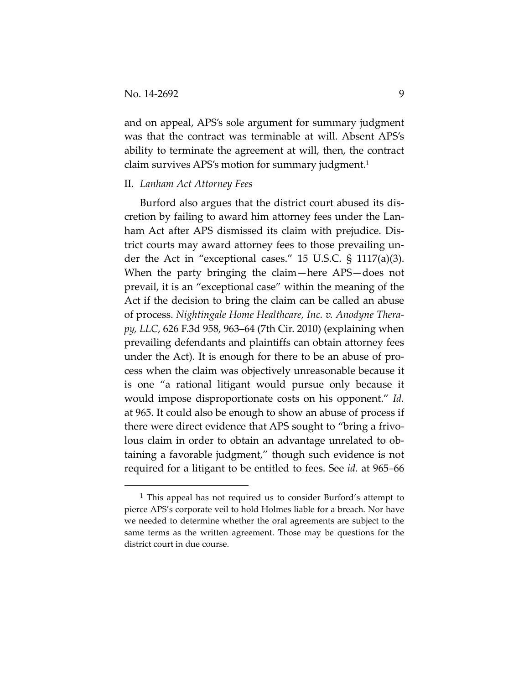and on appeal, APS's sole argument for summary judgment was that the contract was terminable at will. Absent APS's ability to terminate the agreement at will, then, the contract claim survives APS's motion for summary judgment.<sup>1</sup>

## II. *Lanham Act Attorney Fees*

Burford also argues that the district court abused its dis‐ cretion by failing to award him attorney fees under the Lan‐ ham Act after APS dismissed its claim with prejudice. Dis‐ trict courts may award attorney fees to those prevailing un‐ der the Act in "exceptional cases." 15 U.S.C. § 1117(a)(3). When the party bringing the claim—here APS—does not prevail, it is an "exceptional case" within the meaning of the Act if the decision to bring the claim can be called an abuse of process. *Nightingale Home Healthcare, Inc. v. Anodyne Thera‐ py, LLC*, 626 F.3d 958, 963–64 (7th Cir. 2010) (explaining when prevailing defendants and plaintiffs can obtain attorney fees under the Act). It is enough for there to be an abuse of pro‐ cess when the claim was objectively unreasonable because it is one "a rational litigant would pursue only because it would impose disproportionate costs on his opponent." *Id.* at 965. It could also be enough to show an abuse of process if there were direct evidence that APS sought to "bring a frivo‐ lous claim in order to obtain an advantage unrelated to ob‐ taining a favorable judgment," though such evidence is not required for a litigant to be entitled to fees. See *id.* at 965–66

<sup>1</sup> This appeal has not required us to consider Burford's attempt to pierce APS's corporate veil to hold Holmes liable for a breach. Nor have we needed to determine whether the oral agreements are subject to the same terms as the written agreement. Those may be questions for the district court in due course.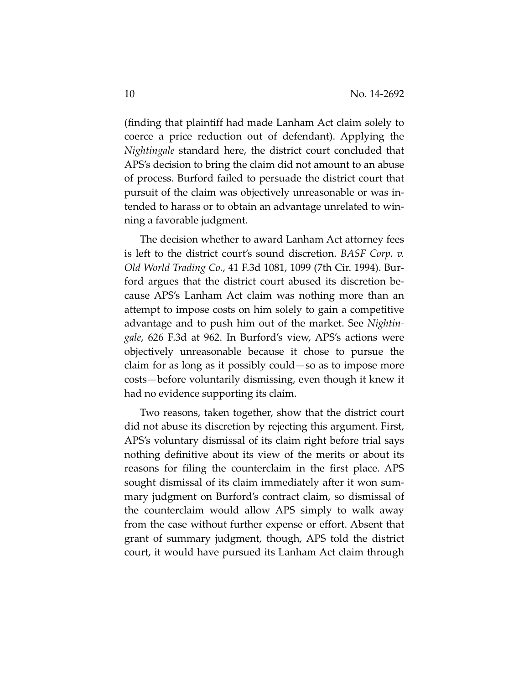(finding that plaintiff had made Lanham Act claim solely to coerce a price reduction out of defendant). Applying the *Nightingale* standard here, the district court concluded that APS's decision to bring the claim did not amount to an abuse of process. Burford failed to persuade the district court that pursuit of the claim was objectively unreasonable or was in‐ tended to harass or to obtain an advantage unrelated to win‐ ning a favorable judgment.

The decision whether to award Lanham Act attorney fees is left to the district court's sound discretion. *BASF Corp. v. Old World Trading Co.*, 41 F.3d 1081, 1099 (7th Cir. 1994). Bur‐ ford argues that the district court abused its discretion be‐ cause APS's Lanham Act claim was nothing more than an attempt to impose costs on him solely to gain a competitive advantage and to push him out of the market. See *Nightin‐ gale*, 626 F.3d at 962. In Burford's view, APS's actions were objectively unreasonable because it chose to pursue the claim for as long as it possibly could—so as to impose more costs—before voluntarily dismissing, even though it knew it had no evidence supporting its claim.

Two reasons, taken together, show that the district court did not abuse its discretion by rejecting this argument. First, APS's voluntary dismissal of its claim right before trial says nothing definitive about its view of the merits or about its reasons for filing the counterclaim in the first place. APS sought dismissal of its claim immediately after it won sum‐ mary judgment on Burford's contract claim, so dismissal of the counterclaim would allow APS simply to walk away from the case without further expense or effort. Absent that grant of summary judgment, though, APS told the district court, it would have pursued its Lanham Act claim through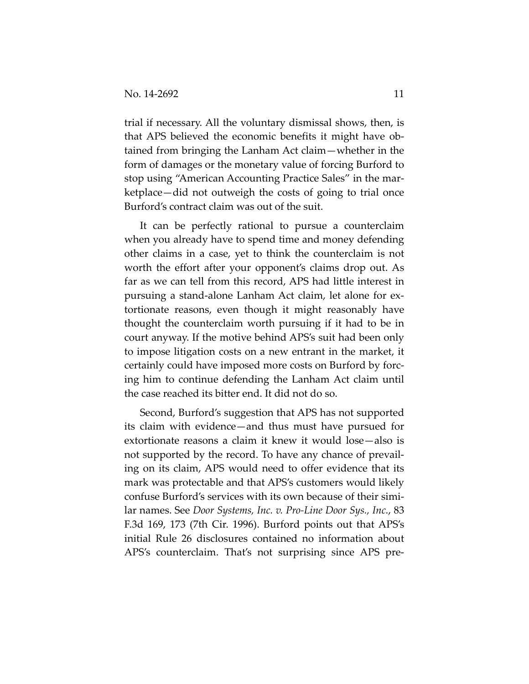trial if necessary. All the voluntary dismissal shows, then, is that APS believed the economic benefits it might have ob‐ tained from bringing the Lanham Act claim—whether in the form of damages or the monetary value of forcing Burford to stop using "American Accounting Practice Sales" in the mar‐ ketplace—did not outweigh the costs of going to trial once Burford's contract claim was out of the suit.

It can be perfectly rational to pursue a counterclaim when you already have to spend time and money defending other claims in a case, yet to think the counterclaim is not worth the effort after your opponent's claims drop out. As far as we can tell from this record, APS had little interest in pursuing a stand‐alone Lanham Act claim, let alone for ex‐ tortionate reasons, even though it might reasonably have thought the counterclaim worth pursuing if it had to be in court anyway. If the motive behind APS's suit had been only to impose litigation costs on a new entrant in the market, it certainly could have imposed more costs on Burford by forc‐ ing him to continue defending the Lanham Act claim until the case reached its bitter end. It did not do so.

Second, Burford's suggestion that APS has not supported its claim with evidence—and thus must have pursued for extortionate reasons a claim it knew it would lose—also is not supported by the record. To have any chance of prevail‐ ing on its claim, APS would need to offer evidence that its mark was protectable and that APS's customers would likely confuse Burford's services with its own because of their simi‐ lar names. See *Door Systems, Inc. v. Pro‐Line Door Sys., Inc.*, 83 F.3d 169, 173 (7th Cir. 1996). Burford points out that APS's initial Rule 26 disclosures contained no information about APS's counterclaim. That's not surprising since APS pre‐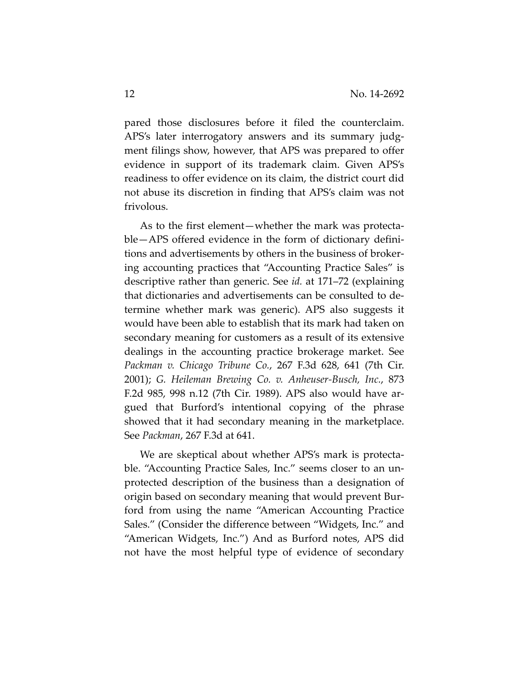pared those disclosures before it filed the counterclaim. APS's later interrogatory answers and its summary judgment filings show, however, that APS was prepared to offer evidence in support of its trademark claim. Given APS's readiness to offer evidence on its claim, the district court did not abuse its discretion in finding that APS's claim was not frivolous.

As to the first element—whether the mark was protecta‐ ble—APS offered evidence in the form of dictionary defini‐ tions and advertisements by others in the business of broker‐ ing accounting practices that "Accounting Practice Sales" is descriptive rather than generic. See *id.* at 171–72 (explaining that dictionaries and advertisements can be consulted to de‐ termine whether mark was generic). APS also suggests it would have been able to establish that its mark had taken on secondary meaning for customers as a result of its extensive dealings in the accounting practice brokerage market. See *Packman v. Chicago Tribune Co.*, 267 F.3d 628, 641 (7th Cir. 2001); *G. Heileman Brewing Co. v. Anheuser‐Busch, Inc.*, 873 F.2d 985, 998 n.12 (7th Cir. 1989). APS also would have ar‐ gued that Burford's intentional copying of the phrase showed that it had secondary meaning in the marketplace. See *Packman*, 267 F.3d at 641.

We are skeptical about whether APS's mark is protectable. "Accounting Practice Sales, Inc." seems closer to an un‐ protected description of the business than a designation of origin based on secondary meaning that would prevent Bur‐ ford from using the name "American Accounting Practice Sales." (Consider the difference between "Widgets, Inc." and "American Widgets, Inc.") And as Burford notes, APS did not have the most helpful type of evidence of secondary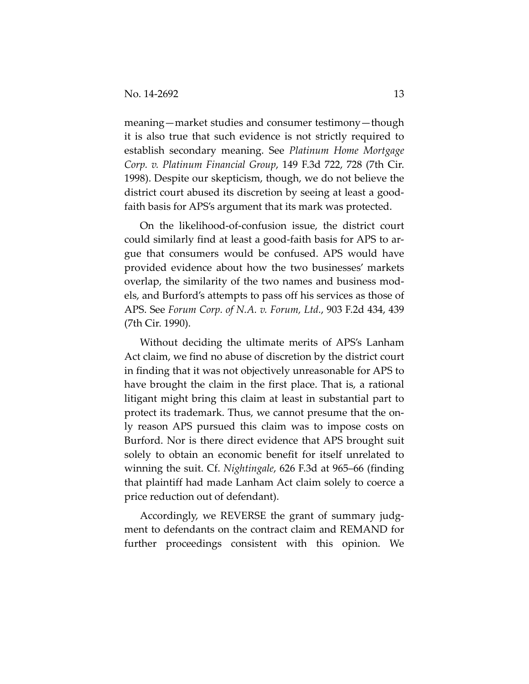meaning—market studies and consumer testimony—though it is also true that such evidence is not strictly required to establish secondary meaning. See *Platinum Home Mortgage Corp. v. Platinum Financial Group*, 149 F.3d 722, 728 (7th Cir. 1998). Despite our skepticism, though, we do not believe the district court abused its discretion by seeing at least a good‐ faith basis for APS's argument that its mark was protected.

On the likelihood‐of‐confusion issue, the district court could similarly find at least a good‐faith basis for APS to ar‐ gue that consumers would be confused. APS would have provided evidence about how the two businesses' markets overlap, the similarity of the two names and business mod‐ els, and Burford's attempts to pass off his services as those of APS. See *Forum Corp. of N.A. v. Forum, Ltd.*, 903 F.2d 434, 439 (7th Cir. 1990).

Without deciding the ultimate merits of APS's Lanham Act claim, we find no abuse of discretion by the district court in finding that it was not objectively unreasonable for APS to have brought the claim in the first place. That is, a rational litigant might bring this claim at least in substantial part to protect its trademark. Thus, we cannot presume that the on‐ ly reason APS pursued this claim was to impose costs on Burford. Nor is there direct evidence that APS brought suit solely to obtain an economic benefit for itself unrelated to winning the suit. Cf. *Nightingale*, 626 F.3d at 965–66 (finding that plaintiff had made Lanham Act claim solely to coerce a price reduction out of defendant).

Accordingly, we REVERSE the grant of summary judgment to defendants on the contract claim and REMAND for further proceedings consistent with this opinion. We